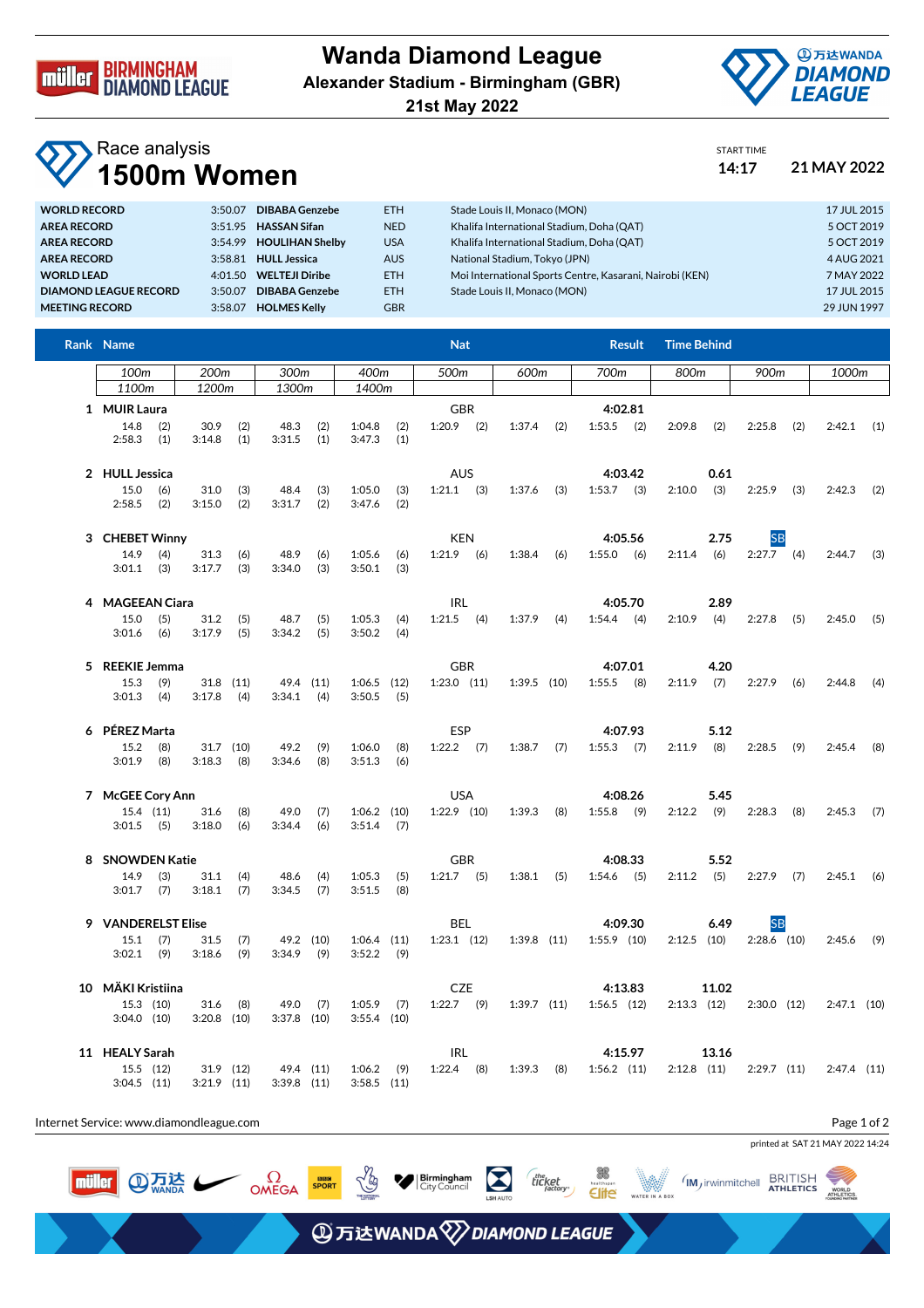

## **Wanda Diamond League Alexander Stadium - Birmingham (GBR)**

**21st May 2022**



START TIME

## Race analysis **1500m Women 14:17 21 MAY 2022**

| <b>WORLD RECORD</b>          | 3:50.07 | <b>DIBABA Genzebe</b>   | ETH.       | Stade Louis II, Monaco (MON)                             | 17 JUL 2015 |
|------------------------------|---------|-------------------------|------------|----------------------------------------------------------|-------------|
| AREA RECORD                  |         | 3:51.95 HASSAN Sifan    | <b>NED</b> | Khalifa International Stadium, Doha (QAT)                | 5 OCT 2019  |
| <b>AREA RECORD</b>           |         | 3:54.99 HOULIHAN Shelby | <b>USA</b> | Khalifa International Stadium, Doha (QAT)                | 5 OCT 2019  |
| <b>AREA RECORD</b>           |         | 3:58.81 HULL Jessica    | <b>AUS</b> | National Stadium, Tokyo (JPN)                            | 4 AUG 2021  |
| <b>WORLD LEAD</b>            |         | 4:01.50 WELTEJI Diribe  | ETH.       | Moi International Sports Centre, Kasarani, Nairobi (KEN) | 7 MAY 2022  |
| <b>DIAMOND LEAGUE RECORD</b> | 3:50.07 | <b>DIBABA Genzebe</b>   | ETH.       | Stade Louis II. Monaco (MON)                             | 17 JUL 2015 |
| <b>MEETING RECORD</b>        | 3:58.07 | <b>HOLMES Kelly</b>     | <b>GBR</b> |                                                          | 29 JUN 1997 |
|                              |         |                         |            |                                                          |             |

| Rank Name                                        |                              |                                   |                                              | <b>Nat</b>                    |                 | <b>Result</b>              | <b>Time Behind</b>     |                            |               |  |
|--------------------------------------------------|------------------------------|-----------------------------------|----------------------------------------------|-------------------------------|-----------------|----------------------------|------------------------|----------------------------|---------------|--|
| 100 <sub>m</sub>                                 | 200 <sub>m</sub>             | 300m                              | 400m                                         | 500m                          | 600m            | 700m                       | 800m                   | 900m                       | 1000m         |  |
| 1100 <sub>m</sub>                                | 1200m                        | 1300m                             | 1400m                                        |                               |                 |                            |                        |                            |               |  |
| 1 MUIR Laura<br>14.8<br>(2)<br>2:58.3<br>(1)     | 30.9<br>3:14.8               | (2)<br>48.3<br>(1)<br>3:31.5      | (2)<br>1:04.8<br>(2)<br>(1)<br>3:47.3<br>(1) | <b>GBR</b><br>$1:20.9$ (2)    | 1:37.4<br>(2)   | 4:02.81<br>$1:53.5$ (2)    | 2:09.8<br>(2)          | 2:25.8<br>(2)              | 2:42.1<br>(1) |  |
| 2 HULL Jessica<br>15.0<br>(6)<br>$2:58.5$ (2)    | 31.0<br>3:15.0               | 48.4<br>(3)<br>(2)<br>3:31.7      | (3)<br>1:05.0<br>(3)<br>3:47.6<br>(2)<br>(2) | <b>AUS</b><br>$1:21.1$ (3)    | $1:37.6$ (3)    | 4:03.42<br>$1:53.7$ (3)    | 0.61<br>(3)<br>2:10.0  | 2:25.9<br>(3)              | 2:42.3<br>(2) |  |
| 3 CHEBET Winny<br>14.9<br>(4)<br>$3:01.1$ (3)    | 31.3<br>3:17.7               | 48.9<br>(6)<br>(3)<br>3:34.0      | (6)<br>1:05.6<br>(6)<br>(3)<br>3:50.1<br>(3) | <b>KEN</b><br>$1:21.9$ (6)    | $1:38.4$ (6)    | 4:05.56<br>$1:55.0$ (6)    | 2.75<br>$2:11.4$ (6)   | <b>SB</b><br>$2:27.7$ (4)  | $2:44.7$ (3)  |  |
| 4 MAGEEAN Ciara<br>15.0<br>(5)<br>3:01.6<br>(6)  | 31.2<br>3:17.9               | (5)<br>48.7<br>(5)<br>3:34.2      | (5)<br>1:05.3<br>(4)<br>(5)<br>3:50.2<br>(4) | <b>IRL</b><br>$1:21.5$ (4)    | $1:37.9$ (4)    | 4:05.70<br>$1:54.4$ (4)    | 2.89<br>$2:10.9$ (4)   | 2:27.8<br>(5)              | 2:45.0<br>(5) |  |
| 5 REEKIE Jemma<br>15.3<br>(9)<br>$3:01.3$ (4)    | $31.8$ (11)<br>3:17.8        | 49.4 (11)<br>(4)<br>3:34.1        | $1:06.5$ (12)<br>(4)<br>$3:50.5$ (5)         | <b>GBR</b><br>$1:23.0$ $(11)$ | $1:39.5$ (10)   | 4:07.01<br>$1:55.5$ (8)    | 4.20<br>$2:11.9$ (7)   | 2:27.9<br>(6)              | 2:44.8<br>(4) |  |
| 6 PÉREZ Marta<br>15.2<br>(8)<br>$3:01.9$ (8)     | $31.7$ (10)<br>3:18.3        | 49.2<br>(8)<br>3:34.6             | (9)<br>1:06.0<br>(8)<br>(8)<br>3:51.3<br>(6) | <b>ESP</b><br>$1:22.2$ (7)    | $1:38.7$ (7)    | 4:07.93<br>$1:55.3$ (7)    | 5.12<br>2:11.9<br>(8)  | 2:28.5<br>(9)              | 2:45.4<br>(8) |  |
| 7 McGEE Cory Ann<br>$15.4$ (11)<br>$3:01.5$ (5)  | 31.6<br>3:18.0               | 49.0<br>(8)<br>(6)<br>3:34.4      | (7)<br>$1:06.2$ (10)<br>$3:51.4$ (7)<br>(6)  | <b>USA</b><br>$1:22.9$ (10)   | $1:39.3$ (8)    | 4:08.26<br>$1:55.8$ (9)    | 5.45<br>$2:12.2$ (9)   | 2:28.3<br>(8)              | 2:45.3<br>(7) |  |
| 8 SNOWDEN Katie<br>(3)<br>14.9<br>$3:01.7$ (7)   | 31.1<br>3:18.1               | (4)<br>48.6<br>(7)<br>3:34.5      | (4)<br>1:05.3<br>(5)<br>(7)<br>3:51.5<br>(8) | <b>GBR</b><br>$1:21.7$ (5)    | $1:38.1$ (5)    | 4:08.33<br>$1:54.6$ (5)    | 5.52<br>$2:11.2$ (5)   | $2:27.9$ (7)               | $2:45.1$ (6)  |  |
| 9 VANDERELST Elise<br>$15.1$ (7)<br>$3:02.1$ (9) | 31.5<br>3:18.6               | (7)<br>49.2 (10)<br>(9)<br>3:34.9 | $1:06.4$ (11)<br>(9)<br>$3:52.2$ (9)         | <b>BEL</b><br>$1:23.1$ $(12)$ | $1:39.8$ (11)   | 4:09.30<br>$1:55.9$ (10)   | 6.49<br>$2:12.5$ (10)  | <b>SB</b><br>$2:28.6$ (10) | $2:45.6$ (9)  |  |
| 10 MÄKI Kristiina<br>15.3 (10)<br>$3:04.0$ (10)  | 31.6<br>$3:20.8$ (10)        | (8)<br>49.0<br>$3:37.8$ (10)      | (7)<br>1:05.9<br>(7)<br>$3:55.4$ (10)        | <b>CZE</b><br>$1:22.7$ (9)    | $1:39.7$ $(11)$ | 4:13.83<br>$1:56.5$ $(12)$ | 11.02<br>$2:13.3$ (12) | $2:30.0$ (12)              | $2:47.1$ (10) |  |
| 11 HEALY Sarah<br>$15.5$ $(12)$<br>$3:04.5$ (11) | 31.9 (12)<br>$3:21.9$ $(11)$ | 49.4 (11)<br>$3:39.8$ $(11)$      | $1:06.2$ (9)<br>$3:58.5$ (11)                | IRL<br>$1:22.4$ (8)           | $1:39.3$ (8)    | 4:15.97<br>$1:56.2$ $(11)$ | 13.16<br>$2:12.8$ (11) | $2:29.7$ (11)              | $2:47.4$ (11) |  |

Internet Service: www.diamondleague.com

**④点法** 

müller

 $\Omega$ 

Page 1 of 2





**④万达WANDA**<sup>2</sup>DIAMOND LEAGUE

**X** | Birmingham

as<br>Site

 $\mathbb{W}$ 

theket